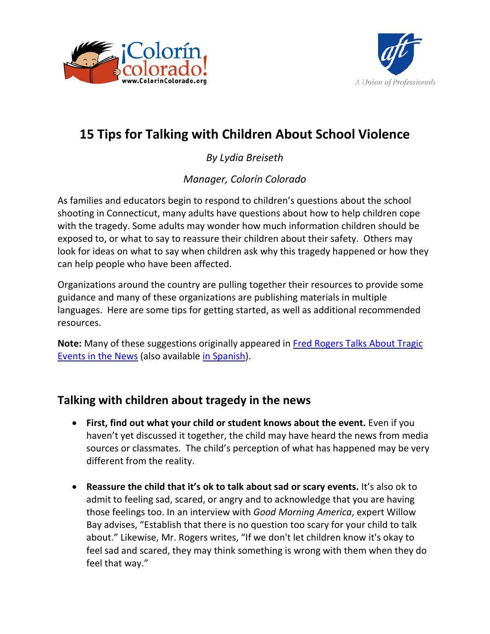



# **15 Tips for Talking with Children About School Violence**

*By Lydia Breiseth*

*Manager, Colorín Colorado*

As families and educators begin to respond to children's questions about the school shooting in Connecticut, many adults have questions about how to help children cope with the tragedy. Some adults may wonder how much information children should be exposed to, or what to say to reassure their children about their safety. Others may look for ideas on what to say when children ask why this tragedy happened or how they can help people who have been affected.

Organizations around the country are pulling together their resources to provide some guidance and many of these organizations are publishing materials in multiple languages. Here are some tips for getting started, as well as additional recommended resources.

**Note:** Many of these suggestions originally appeared in [Fred Rogers Talks About Tragic](http://www.fredrogers.org/new-site/par-tragic-events.html)  [Events in the News](http://www.fredrogers.org/new-site/par-tragic-events.html) (also available [in Spanish\)](http://www.pbs.org/parents/rogers/special/scarynews-thoughts-esp.html).

# **Talking with children about tragedy in the news**

- **First, find out what your child or student knows about the event.** Even if you haven't yet discussed it together, the child may have heard the news from media sources or classmates. The child's perception of what has happened may be very different from the reality.
- **Reassure the child that it's ok to talk about sad or scary events.** It's also ok to admit to feeling sad, scared, or angry and to acknowledge that you are having those feelings too. In an interview with *Good Morning America*, expert Willow Bay advises, "Establish that there is no question too scary for your child to talk about." Likewise, Mr. Rogers writes, "If we don't let children know it's okay to feel sad and scared, they may think something is wrong with them when they do feel that way."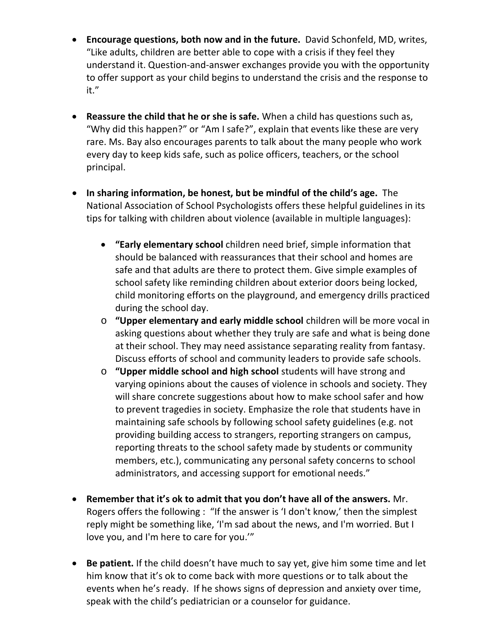- **Encourage questions, both now and in the future.** David Schonfeld, MD, writes, "Like adults, children are better able to cope with a crisis if they feel they understand it. Question-and-answer exchanges provide you with the opportunity to offer support as your child begins to understand the crisis and the response to it."
- **Reassure the child that he or she is safe.** When a child has questions such as, "Why did this happen?" or "Am I safe?", explain that events like these are very rare. Ms. Bay also encourages parents to talk about the many people who work every day to keep kids safe, such as police officers, teachers, or the school principal.
- **In sharing information, be honest, but be mindful of the child's age.** The National Association of School Psychologists offers these helpful guidelines in its tips for talking with children about violence (available in multiple languages):
	- **"Early elementary school** children need brief, simple information that should be balanced with reassurances that their school and homes are safe and that adults are there to protect them. Give simple examples of school safety like reminding children about exterior doors being locked, child monitoring efforts on the playground, and emergency drills practiced during the school day.
	- o **"Upper elementary and early middle school** children will be more vocal in asking questions about whether they truly are safe and what is being done at their school. They may need assistance separating reality from fantasy. Discuss efforts of school and community leaders to provide safe schools.
	- o **"Upper middle school and high school** students will have strong and varying opinions about the causes of violence in schools and society. They will share concrete suggestions about how to make school safer and how to prevent tragedies in society. Emphasize the role that students have in maintaining safe schools by following school safety guidelines (e.g. not providing building access to strangers, reporting strangers on campus, reporting threats to the school safety made by students or community members, etc.), communicating any personal safety concerns to school administrators, and accessing support for emotional needs."
- **Remember that it's ok to admit that you don't have all of the answers.** Mr. Rogers offers the following : "If the answer is 'I don't know,' then the simplest reply might be something like, 'I'm sad about the news, and I'm worried. But I love you, and I'm here to care for you.'"
- **Be patient.** If the child doesn't have much to say yet, give him some time and let him know that it's ok to come back with more questions or to talk about the events when he's ready. If he shows signs of depression and anxiety over time, speak with the child's pediatrician or a counselor for guidance.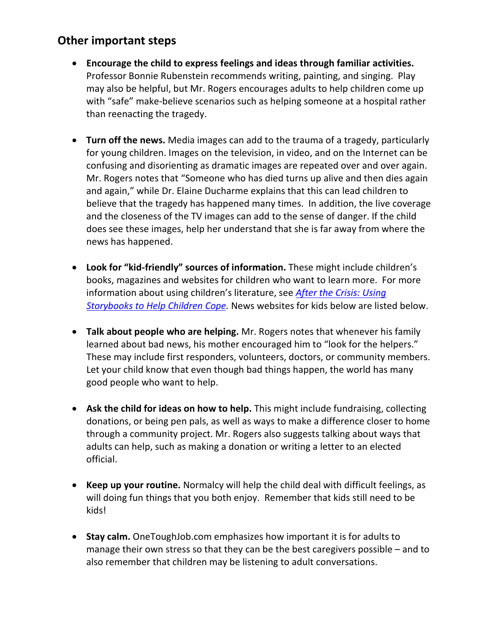## **Other important steps**

- **Encourage the child to express feelings and ideas through familiar activities.** Professor Bonnie Rubenstein recommends writing, painting, and singing. Play may also be helpful, but Mr. Rogers encourages adults to help children come up with "safe" make-believe scenarios such as helping someone at a hospital rather than reenacting the tragedy.
- **Turn off the news.** Media images can add to the trauma of a tragedy, particularly for young children. Images on the television, in video, and on the Internet can be confusing and disorienting as dramatic images are repeated over and over again. Mr. Rogers notes that "Someone who has died turns up alive and then dies again and again," while Dr. Elaine Ducharme explains that this can lead children to believe that the tragedy has happened many times. In addition, the live coverage and the closeness of the TV images can add to the sense of danger. If the child does see these images, help her understand that she is far away from where the news has happened.
- **Look for "kid-friendly" sources of information.** These might include children's books, magazines and websites for children who want to learn more. For more information about using children's literature, see *[After the Crisis: Using](http://gryphonhouse.com/store/trans/productDetailForm.asp?BookID=13492)  [Storybooks to Help Children Cope.](http://gryphonhouse.com/store/trans/productDetailForm.asp?BookID=13492)* News websites for kids below are listed below.
- **Talk about people who are helping.** Mr. Rogers notes that whenever his family learned about bad news, his mother encouraged him to "look for the helpers." These may include first responders, volunteers, doctors, or community members. Let your child know that even though bad things happen, the world has many good people who want to help.
- **Ask the child for ideas on how to help.** This might include fundraising, collecting donations, or being pen pals, as well as ways to make a difference closer to home through a community project. Mr. Rogers also suggests talking about ways that adults can help, such as making a donation or writing a letter to an elected official.
- **Keep up your routine.** Normalcy will help the child deal with difficult feelings, as will doing fun things that you both enjoy. Remember that kids still need to be kids!
- **Stay calm.** OneToughJob.com emphasizes how important it is for adults to manage their own stress so that they can be the best caregivers possible – and to also remember that children may be listening to adult conversations.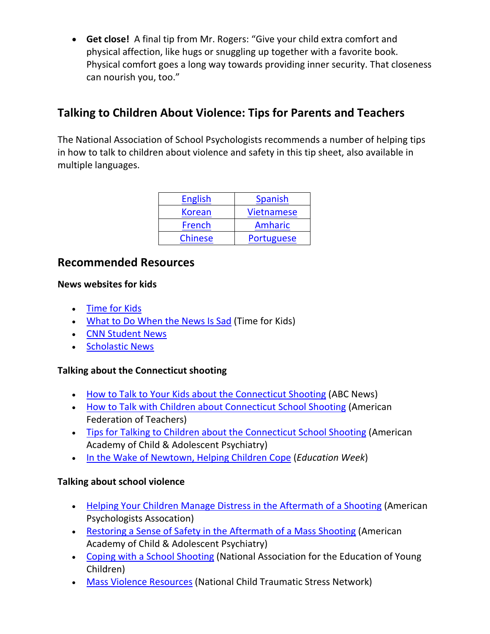• **Get close!** A final tip from Mr. Rogers: "Give your child extra comfort and physical affection, like hugs or snuggling up together with a favorite book. Physical comfort goes a long way towards providing inner security. That closeness can nourish you, too."

# **Talking to Children About Violence: Tips for Parents and Teachers**

The National Association of School Psychologists recommends a number of helping tips in how to talk to children about violence and safety in this tip sheet, also available in multiple languages.

| <b>English</b> | <b>Spanish</b>    |
|----------------|-------------------|
| <b>Korean</b>  | <b>Vietnamese</b> |
| French         | <b>Amharic</b>    |
| <b>Chinese</b> | <b>Portuguese</b> |

### **Recommended Resources**

#### **News websites for kids**

- [Time for Kids](http://www.timeforkids.com/)
- [What to Do When the News Is Sad](http://www.timeforkids.com/news/what-do-when-news-sad/68586) (Time for Kids)
- [CNN Student News](http://www.cnn.com/studentnews/index.html)
- [Scholastic News](http://teacher.scholastic.com/activities/scholasticnews/index.html)

#### **Talking about the Connecticut shooting**

- [How to Talk to Your Kids about the Connecticut Shooting](http://abcnews.go.com/blogs/headlines/2012/12/willow-bay-talking-to-your-kids-connecticut-shootin/) (ABC News)
- [How to Talk with Children about Connecticut School Shooting](http://www.colorincolorado.org/pdfs/articles/Talking%20to%20Students%20About%20Sandy%20Hook_English.pdf) (American Federation of Teachers)
- [Tips for Talking to Children about the Connecticut School Shooting](http://www.aacap.org/galleries/default-file/TipsforTalkingtoChildrenabouttheSchoolShooting.pdf) (American Academy of Child & Adolescent Psychiatry)
- [In the Wake of Newtown, Helping Children Cope](http://www.edweek.org/ew/articles/2012/12/17/15rubenstein.h32.html?tkn=ZXOFmHgEfa6f6QZvZ4VNPwua1w%2FpfRTsOqQw&cmp=ENL-EU-VIEWS1) (*Education Week*)

#### **Talking about school violence**

- [Helping Your Children Manage Distress in the Aftermath of a Shooting](http://www.apa.org/helpcenter/aftermath.aspx) (American Psychologists Assocation)
- [Restoring a Sense of Safety in the Aftermath of a Mass Shooting](http://www.aacap.org/galleries/default-file/CSTS_RestoringaSenseofSafetyinAftermathofMassShooting.pdf) (American Academy of Child & Adolescent Psychiatry)
- [Coping with a School Shooting](http://www.naeyc.org/content/coping-school-shooting) (National Association for the Education of Young Children)
- [Mass Violence Resources](http://www.nctsn.org/trauma-types/terrorism) (National Child Traumatic Stress Network)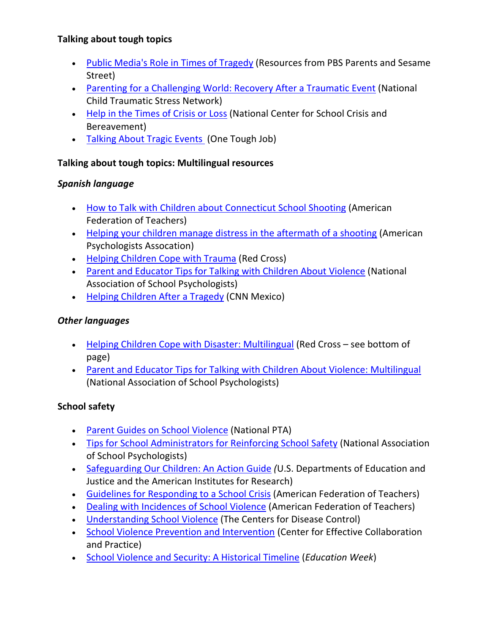#### **Talking about tough topics**

- [Public Media's Role in Times of Tragedy](http://blog.mediaengage.org/?p=4938) (Resources from PBS Parents and Sesame Street)
- [Parenting for a Challenging World: Recovery After a Traumatic Event](http://www.nctsn.org/resources/audiences/parents-caregivers/parenting-in-a-challenging-world) (National Child Traumatic Stress Network)
- [Help in the Times of Crisis or Loss](http://www.cincinnatichildrens.org/service/n/school-crisis/default/) (National Center for School Crisis and Bereavement)
- [Talking About Tragic Events](http://www.onetoughjob.org/your-family/transitions/talking-about-tragic-events) (One Tough Job)

#### **Talking about tough topics: Multilingual resources**

#### *Spanish language*

- [How to Talk with Children about Connecticut School Shooting](http://www.colorincolorado.org/pdfs/articles/Talking%20to%20Students%20About%20Sandy%20Hook_English.pdf) (American Federation of Teachers)
- [Helping your children manage distress in the aftermath of a shooting](http://www.apa.org/centrodeapoyo/escolar.aspx) (American Psychologists Assocation)
- [Helping Children Cope with Trauma](http://www.cruzrojaamericana.org/pdf/1303sp.pdf) (Red Cross)
- [Parent and Educator Tips for Talking with Children About Violence](http://www.nasponline.org/resources/crisis_safety/talkingviolence_spanish.pdf) (National Association of School Psychologists)
- [Helping Children After a Tragedy](http://mexico.cnn.com/salud/2012/12/14/el-apoyo-es-crucial-para-los-ninos-despues-de-una-tragedia) (CNN Mexico)

#### *Other languages*

- [Helping Children Cope with Disaster: Multilingual](http://www.redcross.org/find-help/disaster-recovery/recovering-emotionally) (Red Cross see bottom of page)
- [Parent and Educator Tips for Talking with Children About Violence: Multilingual](http://www.nasponline.org/resources/crisis_safety/index.aspx/#violence) (National Association of School Psychologists)

### **School safety**

- [Parent Guides on School Violence](http://www.pta.org/schoolviolence) (National PTA)
- [Tips for School Administrators for Reinforcing School Safety](http://www.nasponline.org/resources/crisis_safety/schoolsafety_admin.aspx) (National Association of School Psychologists)
- [Safeguarding Our Children: An Action Guide](http://www2.ed.gov/admins/lead/safety/actguide/action_guide.pdf) *(*U.S. Departments of Education and Justice and the American Institutes for Research)
- [Guidelines for Responding to a School Crisis](http://aft.org/yourwork/tools4teachers/together/crisis.cfm) (American Federation of Teachers)
- [Dealing with Incidences of School Violence](http://aft.org/yourwork/tools4teachers/together/violence.cfm) (American Federation of Teachers)
- [Understanding School Violence](http://www.cdc.gov/violenceprevention/pdf/schoolviolence_factsheet-a.pdf) (The Centers for Disease Control)
- [School Violence Prevention and Intervention](http://cecp.air.org/school_violence.asp) (Center for Effective Collaboration and Practice)
- [School Violence and Security: A Historical Timeline](http://www.edweek.org/ew/collections/newtown-school-shootings/index.html#timeline) (*Education Week*)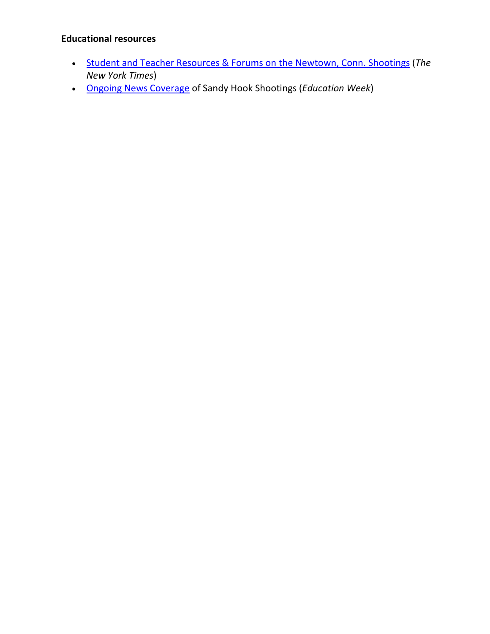#### **Educational resources**

- [Student and Teacher Resources & Forums on the Newtown, Conn. Shootings](http://learning.blogs.nytimes.com/2012/12/17/finding-our-student-and-teacher-resources-on-the-newtown-conn-shootings/?partner=rss&emc=rss) (*The New York Times*)
- [Ongoing News Coverage](http://www.edweek.org/ew/collections/newtown-school-shootings/index.html) of Sandy Hook Shootings (*Education Week*)